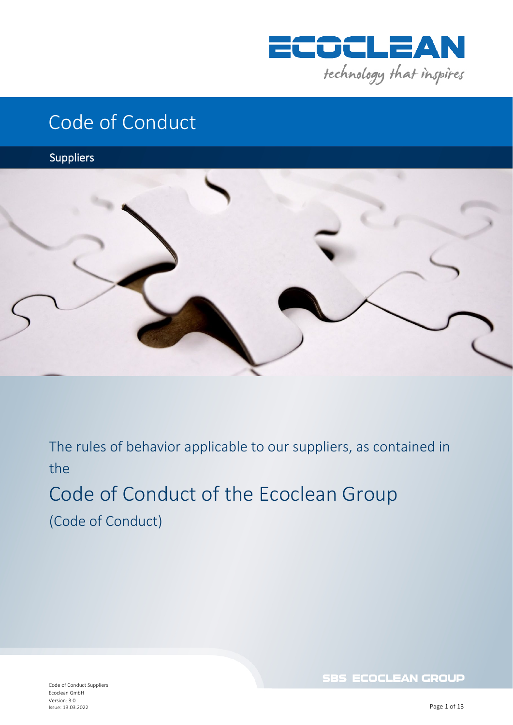

## Code of Conduct

Suppliers



The rules of behavior applicable to our suppliers, as contained in the

## Code of Conduct of the Ecoclean Group (Code of Conduct)

Code of Conduct Suppliers Ecoclean GmbH Version: 3.0 Issue: 13.03.2022

**SBS ECOCLEAN GROUP**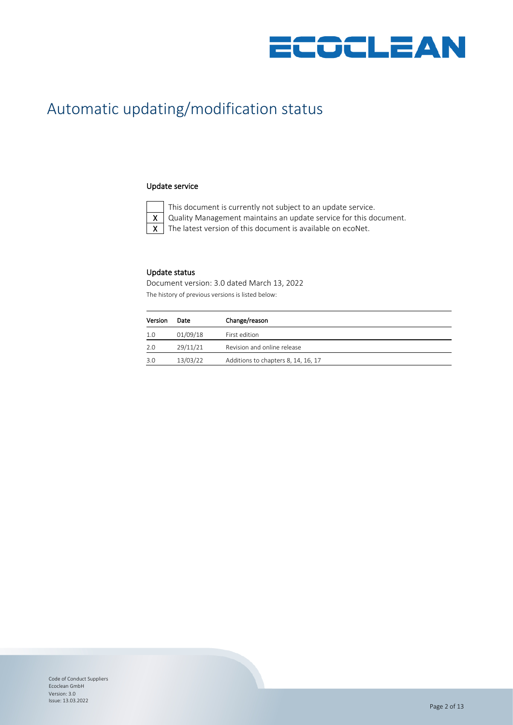

### Automatic updating/modification status

#### Update service



This document is currently not subject to an update service.

 $X \mid$  Quality Management maintains an update service for this document.

 $X$  The latest version of this document is available on ecoNet.

#### Update status

Document version: 3.0 dated March 13, 2022 The history of previous versions is listed below:

| Version | Date     | Change/reason                       |
|---------|----------|-------------------------------------|
| -1.0    | 01/09/18 | First edition                       |
| 2.0     | 29/11/21 | Revision and online release         |
| 3.0     | 13/03/22 | Additions to chapters 8, 14, 16, 17 |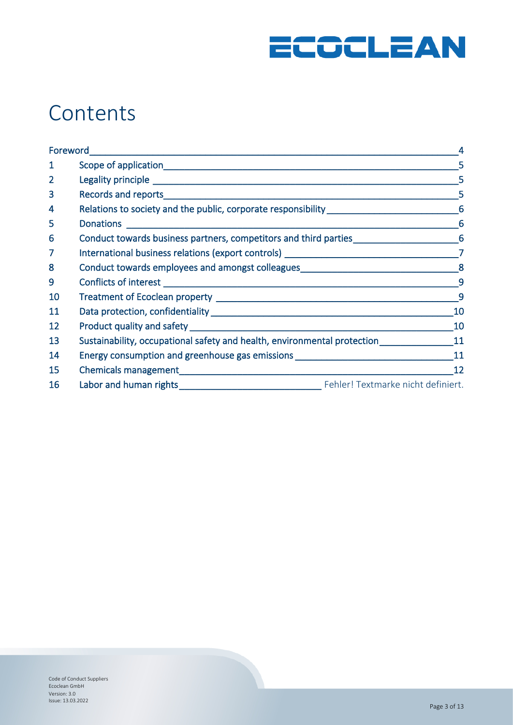

# **Contents**

| Foreword       |                                                                                                                                                      |                |
|----------------|------------------------------------------------------------------------------------------------------------------------------------------------------|----------------|
| $\mathbf{1}$   |                                                                                                                                                      | 5              |
| $\overline{2}$ |                                                                                                                                                      | 5              |
| 3              |                                                                                                                                                      | 5              |
| 4              | Relations to society and the public, corporate responsibility __________________                                                                     | 6              |
| 5              |                                                                                                                                                      | 6              |
| 6              | Conduct towards business partners, competitors and third parties<br>6                                                                                |                |
| $\overline{7}$ |                                                                                                                                                      |                |
| 8              | Conduct towards employees and amongst colleagues ________________________________8                                                                   |                |
| 9              |                                                                                                                                                      | $\overline{9}$ |
| 10             |                                                                                                                                                      | 9              |
| 11             |                                                                                                                                                      | 10             |
| 12             |                                                                                                                                                      | 10             |
| 13             | Sustainability, occupational safety and health, environmental protection<br>Sustainability, occupational safety and health, environmental protection | 11             |
| 14             | Energy consumption and greenhouse gas emissions ________________________________                                                                     | 11             |
| 15             |                                                                                                                                                      | 12             |
| 16             |                                                                                                                                                      |                |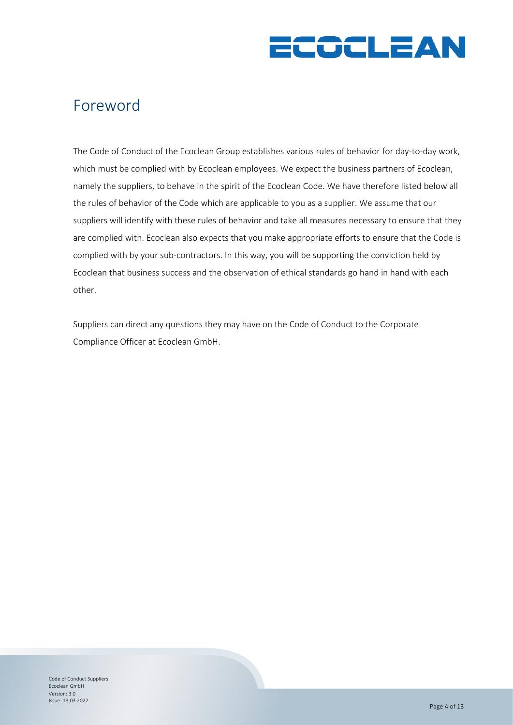

### <span id="page-3-0"></span>Foreword

The Code of Conduct of the Ecoclean Group establishes various rules of behavior for day-to-day work, which must be complied with by Ecoclean employees. We expect the business partners of Ecoclean, namely the suppliers, to behave in the spirit of the Ecoclean Code. We have therefore listed below all the rules of behavior of the Code which are applicable to you as a supplier. We assume that our suppliers will identify with these rules of behavior and take all measures necessary to ensure that they are complied with. Ecoclean also expects that you make appropriate efforts to ensure that the Code is complied with by your sub-contractors. In this way, you will be supporting the conviction held by Ecoclean that business success and the observation of ethical standards go hand in hand with each other.

Suppliers can direct any questions they may have on the Code of Conduct to the Corporate Compliance Officer at Ecoclean GmbH.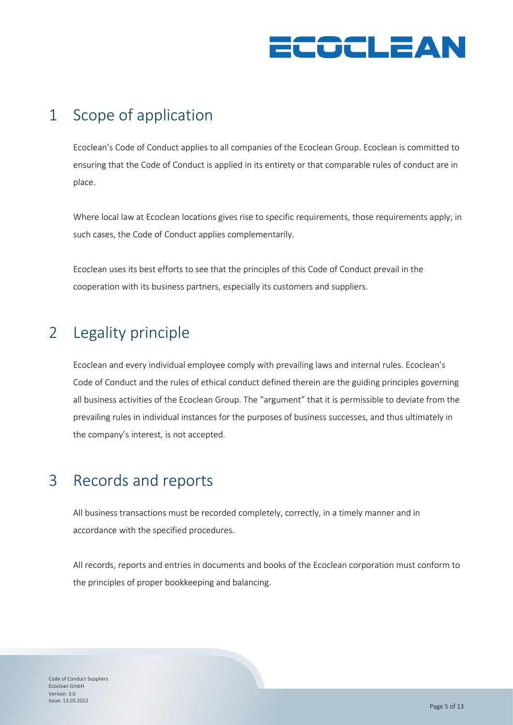

### <span id="page-4-0"></span>1 Scope of application

Ecoclean's Code of Conduct applies to all companies of the Ecoclean Group. Ecoclean is committed to ensuring that the Code of Conduct is applied in its entirety or that comparable rules of conduct are in place.

Where local law at Ecoclean locations gives rise to specific requirements, those requirements apply; in such cases, the Code of Conduct applies complementarily.

Ecoclean uses its best efforts to see that the principles of this Code of Conduct prevail in the cooperation with its business partners, especially its customers and suppliers.

### <span id="page-4-1"></span>2 Legality principle

Ecoclean and every individual employee comply with prevailing laws and internal rules. Ecoclean's Code of Conduct and the rules of ethical conduct defined therein are the guiding principles governing all business activities of the Ecoclean Group. The "argument" that it is permissible to deviate from the prevailing rules in individual instances for the purposes of business successes, and thus ultimately in the company's interest, is not accepted.

#### <span id="page-4-2"></span>3 Records and reports

All business transactions must be recorded completely, correctly, in a timely manner and in accordance with the specified procedures.

All records, reports and entries in documents and books of the Ecoclean corporation must conform to the principles of proper bookkeeping and balancing.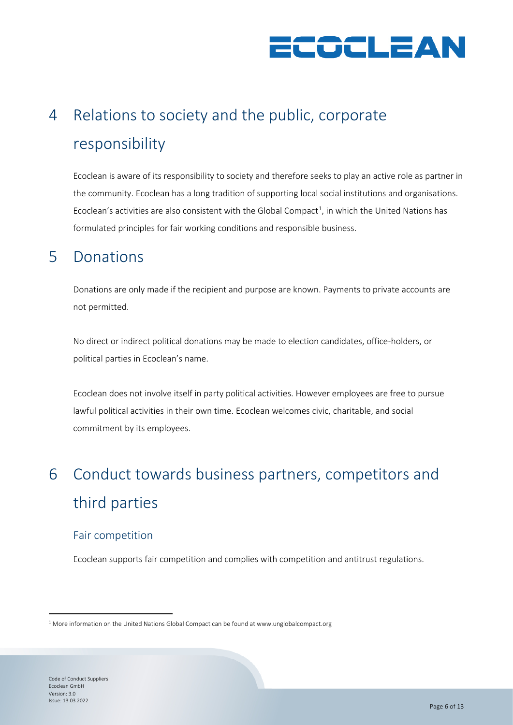

# <span id="page-5-0"></span>4 Relations to society and the public, corporate responsibility

Ecoclean is aware of its responsibility to society and therefore seeks to play an active role as partner in the community. Ecoclean has a long tradition of supporting local social institutions and organisations. Ecoclean's activities are also consistent with the Global Compact<sup>[1](#page-5-3)</sup>, in which the United Nations has formulated principles for fair working conditions and responsible business.

#### <span id="page-5-1"></span>5 Donations

Donations are only made if the recipient and purpose are known. Payments to private accounts are not permitted.

No direct or indirect political donations may be made to election candidates, office-holders, or political parties in Ecoclean's name.

Ecoclean does not involve itself in party political activities. However employees are free to pursue lawful political activities in their own time. Ecoclean welcomes civic, charitable, and social commitment by its employees.

# <span id="page-5-2"></span>6 Conduct towards business partners, competitors and third parties

#### Fair competition

Ecoclean supports fair competition and complies with competition and antitrust regulations.

<span id="page-5-3"></span> $1$  More information on the United Nations Global Compact can be found a[t www.unglobalcompact.org](http://www.unglobalcompact.org/)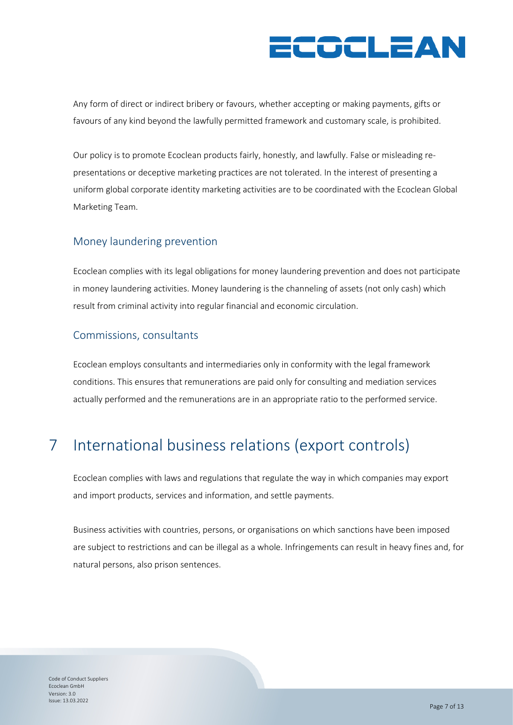# COCLEAN

Any form of direct or indirect bribery or favours, whether accepting or making payments, gifts or favours of any kind beyond the lawfully permitted framework and customary scale, is prohibited.

Our policy is to promote Ecoclean products fairly, honestly, and lawfully. False or misleading representations or deceptive marketing practices are not tolerated. In the interest of presenting a uniform global corporate identity marketing activities are to be coordinated with the Ecoclean Global Marketing Team.

#### Money laundering prevention

Ecoclean complies with its legal obligations for money laundering prevention and does not participate in money laundering activities. Money laundering is the channeling of assets (not only cash) which result from criminal activity into regular financial and economic circulation.

#### Commissions, consultants

Ecoclean employs consultants and intermediaries only in conformity with the legal framework conditions. This ensures that remunerations are paid only for consulting and mediation services actually performed and the remunerations are in an appropriate ratio to the performed service.

### <span id="page-6-0"></span>7 International business relations (export controls)

Ecoclean complies with laws and regulations that regulate the way in which companies may export and import products, services and information, and settle payments.

Business activities with countries, persons, or organisations on which sanctions have been imposed are subject to restrictions and can be illegal as a whole. Infringements can result in heavy fines and, for natural persons, also prison sentences.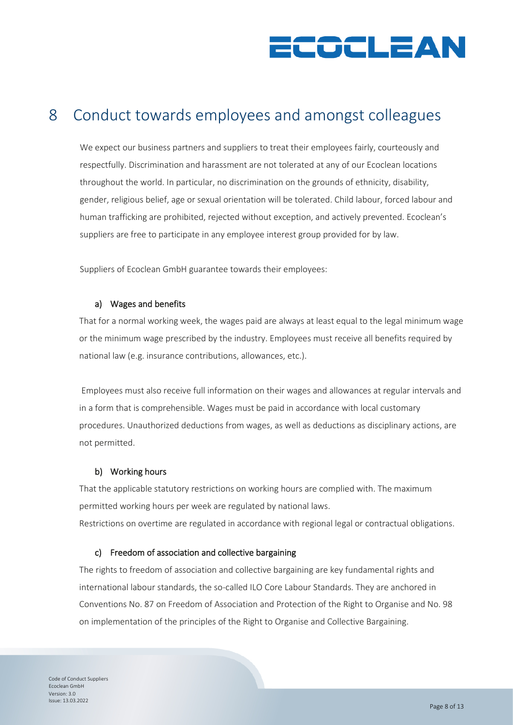

### <span id="page-7-0"></span>8 Conduct towards employees and amongst colleagues

We expect our business partners and suppliers to treat their employees fairly, courteously and respectfully. Discrimination and harassment are not tolerated at any of our Ecoclean locations throughout the world. In particular, no discrimination on the grounds of ethnicity, disability, gender, religious belief, age or sexual orientation will be tolerated. Child labour, forced labour and human trafficking are prohibited, rejected without exception, and actively prevented. Ecoclean's suppliers are free to participate in any employee interest group provided for by law.

Suppliers of Ecoclean GmbH guarantee towards their employees:

#### a) Wages and benefits

That for a normal working week, the wages paid are always at least equal to the legal minimum wage or the minimum wage prescribed by the industry. Employees must receive all benefits required by national law (e.g. insurance contributions, allowances, etc.).

Employees must also receive full information on their wages and allowances at regular intervals and in a form that is comprehensible. Wages must be paid in accordance with local customary procedures. Unauthorized deductions from wages, as well as deductions as disciplinary actions, are not permitted.

#### b) Working hours

That the applicable statutory restrictions on working hours are complied with. The maximum permitted working hours per week are regulated by national laws. Restrictions on overtime are regulated in accordance with regional legal or contractual obligations.

#### c) Freedom of association and collective bargaining

The rights to freedom of association and collective bargaining are key fundamental rights and international labour standards, the so-called ILO Core Labour Standards. They are anchored in Conventions No. 87 on Freedom of Association and Protection of the Right to Organise and No. 98 on implementation of the principles of the Right to Organise and Collective Bargaining.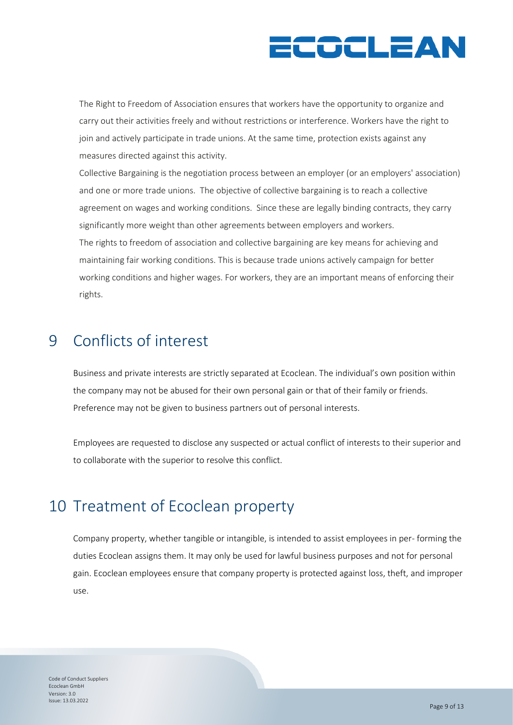# ECOCLEAN

The Right to Freedom of Association ensures that workers have the opportunity to organize and carry out their activities freely and without restrictions or interference. Workers have the right to join and actively participate in trade unions. At the same time, protection exists against any measures directed against this activity.

Collective Bargaining is the negotiation process between an employer (or an employers' association) and one or more trade unions. The objective of collective bargaining is to reach a collective agreement on wages and working conditions. Since these are legally binding contracts, they carry significantly more weight than other agreements between employers and workers. The rights to freedom of association and collective bargaining are key means for achieving and maintaining fair working conditions. This is because trade unions actively campaign for better working conditions and higher wages. For workers, they are an important means of enforcing their rights.

### <span id="page-8-0"></span>9 Conflicts of interest

Business and private interests are strictly separated at Ecoclean. The individual's own position within the company may not be abused for their own personal gain or that of their family or friends. Preference may not be given to business partners out of personal interests.

Employees are requested to disclose any suspected or actual conflict of interests to their superior and to collaborate with the superior to resolve this conflict.

#### <span id="page-8-1"></span>10 Treatment of Ecoclean property

Company property, whether tangible or intangible, is intended to assist employees in per- forming the duties Ecoclean assigns them. It may only be used for lawful business purposes and not for personal gain. Ecoclean employees ensure that company property is protected against loss, theft, and improper use.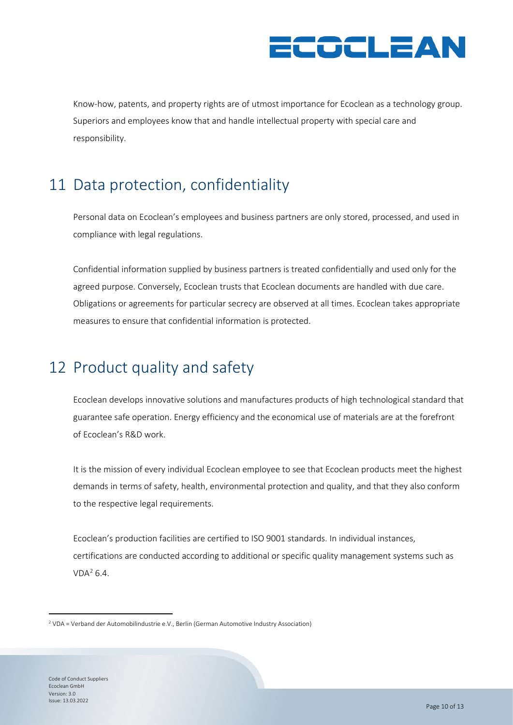

Know-how, patents, and property rights are of utmost importance for Ecoclean as a technology group. Superiors and employees know that and handle intellectual property with special care and responsibility.

### <span id="page-9-0"></span>11 Data protection, confidentiality

Personal data on Ecoclean's employees and business partners are only stored, processed, and used in compliance with legal regulations.

Confidential information supplied by business partners is treated confidentially and used only for the agreed purpose. Conversely, Ecoclean trusts that Ecoclean documents are handled with due care. Obligations or agreements for particular secrecy are observed at all times. Ecoclean takes appropriate measures to ensure that confidential information is protected.

### <span id="page-9-1"></span>12 Product quality and safety

Ecoclean develops innovative solutions and manufactures products of high technological standard that guarantee safe operation. Energy efficiency and the economical use of materials are at the forefront of Ecoclean's R&D work.

It is the mission of every individual Ecoclean employee to see that Ecoclean products meet the highest demands in terms of safety, health, environmental protection and quality, and that they also conform to the respective legal requirements.

Ecoclean's production facilities are certified to ISO 9001 standards. In individual instances, certifications are conducted according to additional or specific quality management systems such as  $VDA<sup>2</sup> 6.4.$ 

<span id="page-9-2"></span><sup>2</sup> VDA = Verband der Automobilindustrie e.V., Berlin (German Automotive Industry Association)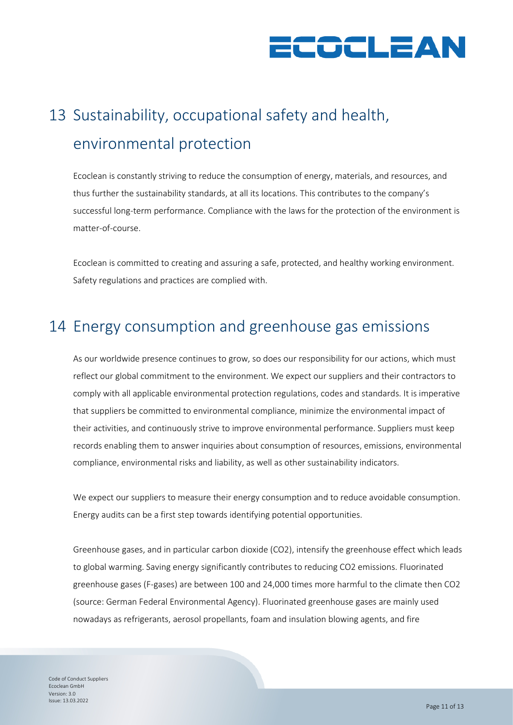

# <span id="page-10-0"></span>13 Sustainability, occupational safety and health, environmental protection

Ecoclean is constantly striving to reduce the consumption of energy, materials, and resources, and thus further the sustainability standards, at all its locations. This contributes to the company's successful long-term performance. Compliance with the laws for the protection of the environment is matter-of-course.

Ecoclean is committed to creating and assuring a safe, protected, and healthy working environment. Safety regulations and practices are complied with.

#### <span id="page-10-1"></span>14 Energy consumption and greenhouse gas emissions

As our worldwide presence continues to grow, so does our responsibility for our actions, which must reflect our global commitment to the environment. We expect our suppliers and their contractors to comply with all applicable environmental protection regulations, codes and standards. It is imperative that suppliers be committed to environmental compliance, minimize the environmental impact of their activities, and continuously strive to improve environmental performance. Suppliers must keep records enabling them to answer inquiries about consumption of resources, emissions, environmental compliance, environmental risks and liability, as well as other sustainability indicators.

We expect our suppliers to measure their energy consumption and to reduce avoidable consumption. Energy audits can be a first step towards identifying potential opportunities.

Greenhouse gases, and in particular carbon dioxide (CO2), intensify the greenhouse effect which leads to global warming. Saving energy significantly contributes to reducing CO2 emissions. Fluorinated greenhouse gases (F-gases) are between 100 and 24,000 times more harmful to the climate then CO2 (source: German Federal Environmental Agency). Fluorinated greenhouse gases are mainly used nowadays as refrigerants, aerosol propellants, foam and insulation blowing agents, and fire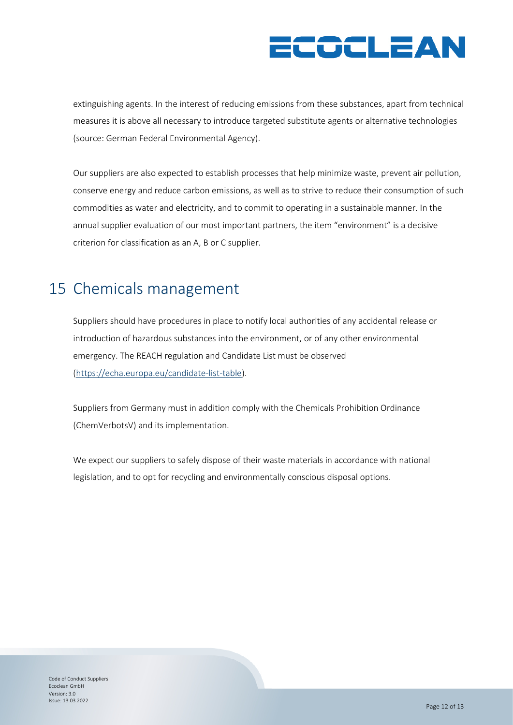# ECOCLEAN

extinguishing agents. In the interest of reducing emissions from these substances, apart from technical measures it is above all necessary to introduce targeted substitute agents or alternative technologies (source: German Federal Environmental Agency).

Our suppliers are also expected to establish processes that help minimize waste, prevent air pollution, conserve energy and reduce carbon emissions, as well as to strive to reduce their consumption of such commodities as water and electricity, and to commit to operating in a sustainable manner. In the annual supplier evaluation of our most important partners, the item "environment" is a decisive criterion for classification as an A, B or C supplier.

### <span id="page-11-0"></span>15 Chemicals management

Suppliers should have procedures in place to notify local authorities of any accidental release or introduction of hazardous substances into the environment, or of any other environmental emergency. The REACH regulation and Candidate List must be observed [\(https://echa.europa.eu/candidate-list-table\)](https://echa.europa.eu/candidate-list-table).

Suppliers from Germany must in addition comply with the Chemicals Prohibition Ordinance (ChemVerbotsV) and its implementation.

We expect our suppliers to safely dispose of their waste materials in accordance with national legislation, and to opt for recycling and environmentally conscious disposal options.